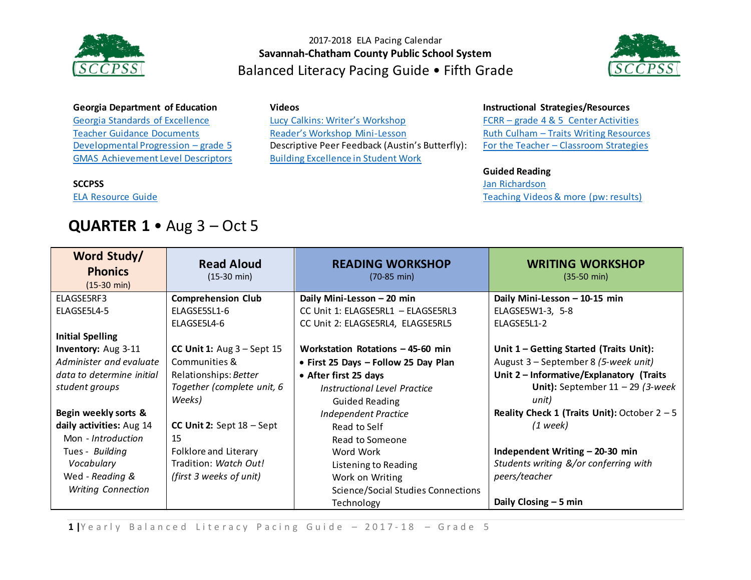



### **Georgia Department of Education**

[Georgia Standards of Excellence](https://drive.google.com/a/students.sccpss.com/file/d/0ByacPIqPkdVwS2hFWHVCUjM5MmM/view?usp=sharing) [Teacher Guidance Documents](https://drive.google.com/a/students.sccpss.com/file/d/0ByacPIqPkdVweXRmNTJfQk5GakE/view?usp=sharing) [Developmental Progression](https://drive.google.com/open?id=0ByacPIqPkdVwX2lScXpVZ3JSMTg) – grade 5 [GMAS Achievement Level Descriptors](http://www.gadoe.org/Curriculum-Instruction-and-Assessment/Assessment/Documents/Milestones/ALD/ALDS_for_Grade_5_Milestones_EOG_ELA.pdf)

#### **SCCPSS**

[ELA Resource Guide](https://drive.google.com/file/d/0B3Uu6Ml6RRkDcnZyck9TTE9XN0k/view)

## **QUARTER 1** • Aug 3 – Oct 5

### **Videos**

[Lucy Calkins: Writer's Workshop](https://www.youtube.com/watch?v=zPRM2ZXyrS0&list=PLb5RXypPqP5sNAYNUDEfwaq2QYPauhCcc) [Reader's Workshop Mini](https://www.youtube.com/watch?v=x-wGHenBAEc&index=13&list=PL1R9MLStsjiGBNHPeCMUidYAVX0_1GwNj)-Lesson Descriptive Peer Feedback (Austin's Butterfly): [Building Excellence in Student Work](https://vimeo.com/38247060)

#### **Instructional Strategies/Resources**

FCRR – [grade 4 & 5 Center Activities](http://www.fcrr.org/resources/resources_sca_4-5.html)  Ruth Culham – [Traits Writing Resources](http://www.fcrr.org/resources/resources_sca_4-5.html) For the Teacher – [Classroom Strategies](http://www.fortheteachers.org/instructional_strategies/)

### **Guided Reading**

[Jan Richardson](http://www.janrichardsonguidedreading.com/home) [Teaching Videos& more](http://www.scholastic.com/NSFresources/) (pw: results)

| Word Study/<br><b>Phonics</b><br>$(15-30 \text{ min})$ | <b>Read Aloud</b><br>$(15-30 \text{ min})$ | <b>READING WORKSHOP</b><br>$(70-85 \text{ min})$ | <b>WRITING WORKSHOP</b><br>$(35-50 \text{ min})$ |
|--------------------------------------------------------|--------------------------------------------|--------------------------------------------------|--------------------------------------------------|
| ELAGSE5RF3                                             | <b>Comprehension Club</b>                  | Daily Mini-Lesson - 20 min                       | Daily Mini-Lesson - 10-15 min                    |
| ELAGSE5L4-5                                            | ELAGSE5SL1-6                               | CC Unit 1: ELAGSE5RL1 - ELAGSE5RL3               | ELAGSE5W1-3, 5-8                                 |
|                                                        | ELAGSE5L4-6                                | CC Unit 2: ELAGSE5RL4, ELAGSE5RL5                | ELAGSE5L1-2                                      |
| <b>Initial Spelling</b>                                |                                            |                                                  |                                                  |
| Inventory: Aug 3-11                                    | CC Unit 1: $Aug 3 - Sept 15$               | Workstation Rotations - 45-60 min                | Unit 1 - Getting Started (Traits Unit):          |
| Administer and evaluate                                | Communities &                              | • First 25 Days - Follow 25 Day Plan             | August 3 – September 8 (5-week unit)             |
| data to determine initial                              | Relationships: Better                      | • After first 25 days                            | Unit 2 - Informative/Explanatory (Traits         |
| student groups                                         | Together (complete unit, 6                 | Instructional Level Practice                     | Unit): September $11 - 29$ (3-week               |
|                                                        | Weeks)                                     | <b>Guided Reading</b>                            | unit)                                            |
| Begin weekly sorts &                                   |                                            | <b>Independent Practice</b>                      | Reality Check 1 (Traits Unit): October $2 - 5$   |
| daily activities: Aug 14                               | CC Unit 2: Sept $18 -$ Sept                | Read to Self                                     | $(1$ week)                                       |
| Mon - Introduction                                     | 15                                         | Read to Someone                                  |                                                  |
| Tues - Building                                        | Folklore and Literary                      | Word Work                                        | Independent Writing - 20-30 min                  |
| Vocabulary                                             | Tradition: Watch Out!                      | Listening to Reading                             | Students writing &/or conferring with            |
| Wed - Reading &                                        | (first 3 weeks of unit)                    | Work on Writing                                  | peers/teacher                                    |
| <b>Writing Connection</b>                              |                                            | <b>Science/Social Studies Connections</b>        |                                                  |
|                                                        |                                            | Technology                                       | Daily Closing - 5 min                            |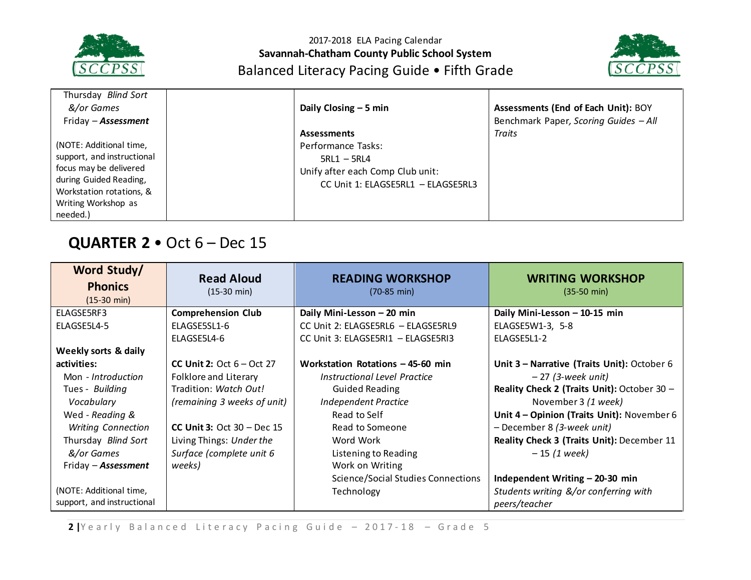



| Thursday Blind Sort<br>&/or Games                                                                                                                                        | Daily Closing $-5$ min                                                                                                              | Assessments (End of Each Unit): BOY   |
|--------------------------------------------------------------------------------------------------------------------------------------------------------------------------|-------------------------------------------------------------------------------------------------------------------------------------|---------------------------------------|
| Friday - <b>Assessment</b>                                                                                                                                               |                                                                                                                                     | Benchmark Paper, Scoring Guides - All |
| (NOTE: Additional time,<br>support, and instructional<br>focus may be delivered<br>during Guided Reading,<br>Workstation rotations, &<br>Writing Workshop as<br>needed.) | <b>Assessments</b><br>Performance Tasks:<br>$5RL1 - 5RL4$<br>Unify after each Comp Club unit:<br>CC Unit 1: ELAGSE5RL1 - ELAGSE5RL3 | <b>Traits</b>                         |

# **QUARTER 2** • Oct 6 – Dec 15

| Word Study/<br><b>Phonics</b><br>$(15-30 \text{ min})$ | <b>Read Aloud</b><br>$(15-30 \text{ min})$ | <b>READING WORKSHOP</b><br>$(70-85 \text{ min})$ | <b>WRITING WORKSHOP</b><br>$(35-50 \text{ min})$ |
|--------------------------------------------------------|--------------------------------------------|--------------------------------------------------|--------------------------------------------------|
| ELAGSE5RF3                                             | <b>Comprehension Club</b>                  | Daily Mini-Lesson - 20 min                       | Daily Mini-Lesson - 10-15 min                    |
| ELAGSE5L4-5                                            | ELAGSE5SL1-6                               | CC Unit 2: ELAGSE5RL6 - ELAGSE5RL9               | ELAGSE5W1-3, 5-8                                 |
|                                                        | ELAGSE5L4-6                                | CC Unit 3: ELAGSE5RI1 - ELAGSE5RI3               | ELAGSE5L1-2                                      |
| Weekly sorts & daily                                   |                                            |                                                  |                                                  |
| activities:                                            | <b>CC Unit 2:</b> Oct $6 - Oct$ 27         | Workstation Rotations - 45-60 min                | Unit 3 - Narrative (Traits Unit): October 6      |
| Mon - Introduction                                     | Folklore and Literary                      | Instructional Level Practice                     | $-27$ (3-week unit)                              |
| Tues - Building                                        | Tradition: Watch Out!                      | <b>Guided Reading</b>                            | Reality Check 2 (Traits Unit): October 30 -      |
| Vocabulary                                             | (remaining 3 weeks of unit)                | <b>Independent Practice</b>                      | November 3 (1 week)                              |
| Wed - Reading &                                        |                                            | Read to Self                                     | Unit 4 - Opinion (Traits Unit): November 6       |
| <b>Writing Connection</b>                              | CC Unit 3: Oct $30 - Dec 15$               | Read to Someone                                  | - December 8 (3-week unit)                       |
| Thursday Blind Sort                                    | Living Things: Under the                   | Word Work                                        | Reality Check 3 (Traits Unit): December 11       |
| &/or Games                                             | Surface (complete unit 6                   | Listening to Reading                             | $-15(1 week)$                                    |
| Friday - Assessment                                    | weeks)                                     | Work on Writing                                  |                                                  |
|                                                        |                                            | <b>Science/Social Studies Connections</b>        | Independent Writing - 20-30 min                  |
| (NOTE: Additional time,                                |                                            | Technology                                       | Students writing &/or conferring with            |
| support, and instructional                             |                                            |                                                  | peers/teacher                                    |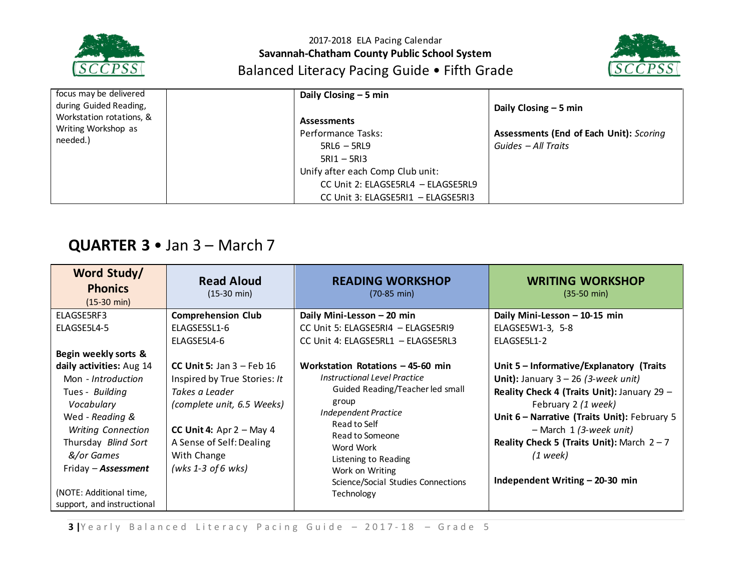



| focus may be delivered<br>during Guided Reading,            | Daily Closing $-5$ min                                                                                                                                                                     | Daily Closing $-5$ min                                         |
|-------------------------------------------------------------|--------------------------------------------------------------------------------------------------------------------------------------------------------------------------------------------|----------------------------------------------------------------|
| Workstation rotations, &<br>Writing Workshop as<br>needed.) | <b>Assessments</b><br>Performance Tasks:<br>$5RL6 - 5RL9$<br>$5R11 - 5R13$<br>Unify after each Comp Club unit:<br>CC Unit 2: ELAGSE5RL4 - ELAGSE5RL9<br>CC Unit 3: ELAGSE5RI1 - ELAGSE5RI3 | Assessments (End of Each Unit): Scoring<br>Guides - All Traits |

# **QUARTER 3** • Jan 3 – March 7

| $(15-30 \text{ min})$<br>$(70-85 \text{ min})$<br>$(35-50 \text{ min})$<br>$(15-30 \text{ min})$                                                                                                                                                                                                                                                                                                                                                                                                                                                                                                                                                                                                                                                                                                                                                                                                                                                                                                                                                                                                                                                                                                                                                                                                                                                                                                            |  |
|-------------------------------------------------------------------------------------------------------------------------------------------------------------------------------------------------------------------------------------------------------------------------------------------------------------------------------------------------------------------------------------------------------------------------------------------------------------------------------------------------------------------------------------------------------------------------------------------------------------------------------------------------------------------------------------------------------------------------------------------------------------------------------------------------------------------------------------------------------------------------------------------------------------------------------------------------------------------------------------------------------------------------------------------------------------------------------------------------------------------------------------------------------------------------------------------------------------------------------------------------------------------------------------------------------------------------------------------------------------------------------------------------------------|--|
| <b>Comprehension Club</b><br>ELAGSE5RF3<br>Daily Mini-Lesson - 20 min<br>Daily Mini-Lesson - 10-15 min<br>ELAGSE5L4-5<br>ELAGSE5SL1-6<br>CC Unit 5: ELAGSE5RI4 - ELAGSE5RI9<br>ELAGSE5W1-3, 5-8<br>ELAGSE5L4-6<br>CC Unit 4: ELAGSE5RL1 - ELAGSE5RL3<br>ELAGSE5L1-2<br>Begin weekly sorts &<br>daily activities: Aug 14<br>CC Unit 5: Jan $3$ – Feb 16<br>Workstation Rotations $-45-60$ min<br>Unit 5 - Informative/Explanatory (Traits<br>Instructional Level Practice<br>Inspired by True Stories: It<br>Unit): January $3 - 26$ (3-week unit)<br>Mon - Introduction<br>Guided Reading/Teacher led small<br>Reality Check 4 (Traits Unit): January 29 -<br>Tues - Building<br>Takes a Leader<br>group<br>Vocabulary<br>(complete unit, 6.5 Weeks)<br>February 2 (1 week)<br>Independent Practice<br>Unit 6 - Narrative (Traits Unit): February 5<br>Wed - Reading &<br>Read to Self<br>$-$ March 1 (3-week unit)<br>CC Unit 4: Apr $2 - May 4$<br><b>Writing Connection</b><br>Read to Someone<br>Reality Check 5 (Traits Unit): March $2 - 7$<br>Thursday Blind Sort<br>A Sense of Self: Dealing<br>Word Work<br>&/or Games<br>With Change<br>$(1$ week)<br>Listening to Reading<br>(wks 1-3 of 6 wks)<br>Friday - <b>Assessment</b><br>Work on Writing<br>Independent Writing - 20-30 min<br>Science/Social Studies Connections<br>(NOTE: Additional time,<br>Technology<br>support, and instructional |  |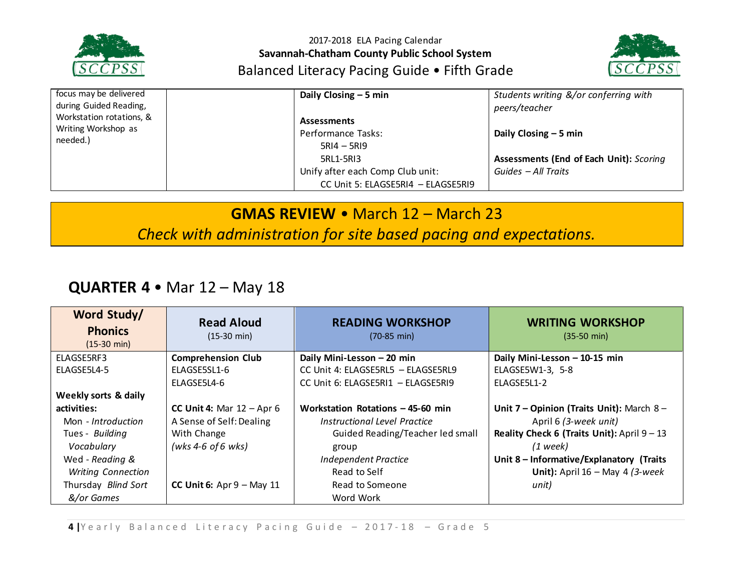



| focus may be delivered                                      |  | Daily Closing $-5$ min             | Students writing &/or conferring with          |
|-------------------------------------------------------------|--|------------------------------------|------------------------------------------------|
| during Guided Reading,                                      |  |                                    | peers/teacher                                  |
| Workstation rotations, &<br>Writing Workshop as<br>needed.) |  | <b>Assessments</b>                 |                                                |
|                                                             |  | Performance Tasks:                 | Daily Closing $-5$ min                         |
|                                                             |  | $5RI4 - 5RI9$                      |                                                |
|                                                             |  | 5RL1-5RI3                          | <b>Assessments (End of Each Unit): Scoring</b> |
|                                                             |  | Unify after each Comp Club unit:   | Guides - All Traits                            |
|                                                             |  | CC Unit 5: ELAGSE5RI4 - ELAGSE5RI9 |                                                |

## **GMAS REVIEW** • March 12 – March 23

*Check with administration for site based pacing and expectations.*

# **QUARTER 4** • Mar 12 – May 18

| Word Study/<br><b>Phonics</b><br>$(15-30 \text{ min})$ | <b>Read Aloud</b><br>$(15-30 \text{ min})$ | <b>READING WORKSHOP</b><br>$(70-85 \text{ min})$ | <b>WRITING WORKSHOP</b><br>$(35-50 \text{ min})$ |
|--------------------------------------------------------|--------------------------------------------|--------------------------------------------------|--------------------------------------------------|
| ELAGSE5RF3                                             | <b>Comprehension Club</b>                  | Daily Mini-Lesson - 20 min                       | Daily Mini-Lesson - 10-15 min                    |
| ELAGSE5L4-5                                            | ELAGSE5SL1-6                               | CC Unit 4: ELAGSE5RL5 - ELAGSE5RL9               | ELAGSE5W1-3, 5-8                                 |
|                                                        | ELAGSE5L4-6                                | CC Unit 6: ELAGSE5RI1 - ELAGSE5RI9               | ELAGSE5L1-2                                      |
| Weekly sorts & daily                                   |                                            |                                                  |                                                  |
| activities:                                            | CC Unit 4: Mar $12 -$ Apr 6                | Workstation Rotations - 45-60 min                | Unit 7 - Opinion (Traits Unit): March 8 -        |
| Mon - Introduction                                     | A Sense of Self: Dealing                   | Instructional Level Practice                     | April 6 (3-week unit)                            |
| Tues - Building                                        | With Change                                | Guided Reading/Teacher led small                 | Reality Check 6 (Traits Unit): April $9 - 13$    |
| Vocabulary                                             | (wks 4-6 of 6 wks)                         | group                                            | $(1$ week)                                       |
| Wed - Reading &                                        |                                            | <b>Independent Practice</b>                      | Unit 8 - Informative/Explanatory (Traits         |
| <b>Writing Connection</b>                              |                                            | Read to Self                                     | Unit): April $16$ – May 4 (3-week                |
| Thursday Blind Sort                                    | CC Unit 6: $Apr 9 - May 11$                | Read to Someone                                  | unit)                                            |
| &/or Games                                             |                                            | Word Work                                        |                                                  |